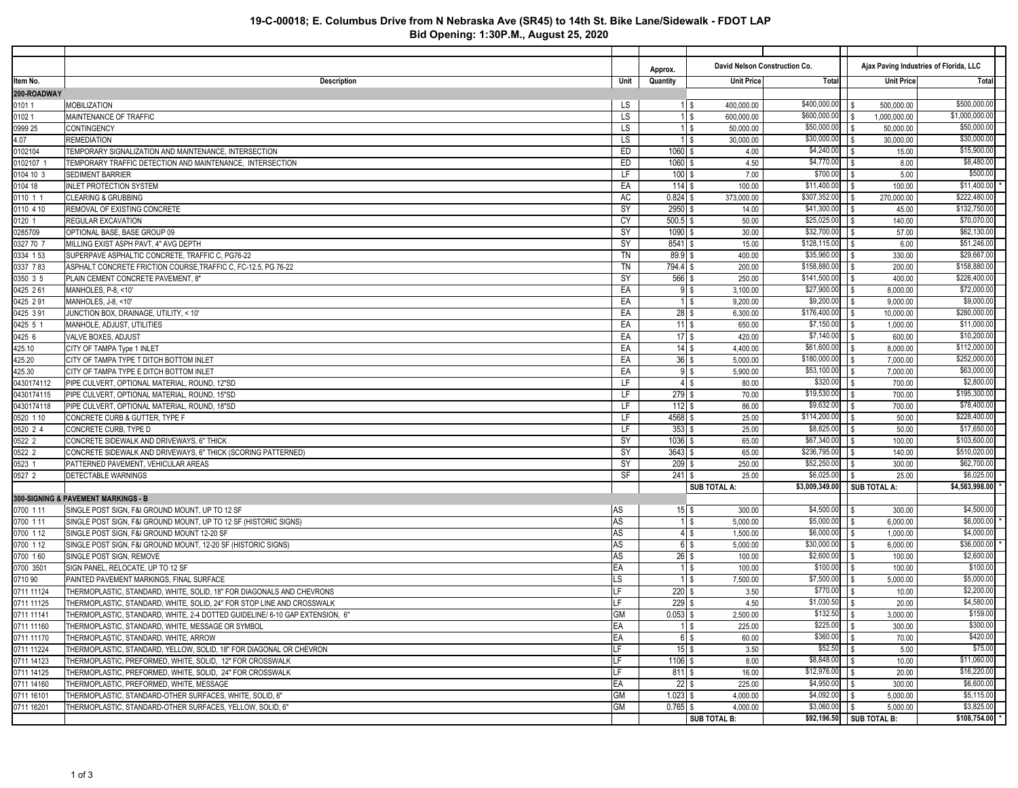## **19-C-00018; E. Columbus Drive from N Nebraska Ave (SR45) to 14th St. Bike Lane/Sidewalk - FDOT LAP Bid Opening: 1:30P.M., August 25, 2020**

|                    |                                                                              |           | Approx.          | David Nelson Construction Co. |                           |            | Ajax Paving Industries of Florida, LLC |                              |
|--------------------|------------------------------------------------------------------------------|-----------|------------------|-------------------------------|---------------------------|------------|----------------------------------------|------------------------------|
| ltem No.           | Description                                                                  | Unit      | Quantity         | <b>Unit Price</b>             | Total                     |            | <b>Unit Price</b>                      | Total                        |
| 200-ROADWAY        |                                                                              |           |                  |                               |                           |            |                                        |                              |
| 0101 1             | <b>MOBILIZATION</b>                                                          | LS        | $1$ \$           | 400,000.00                    | $\sqrt{400,000.00}$       |            | 500,000.00                             | \$500,000.00                 |
| 01021              | MAINTENANCE OF TRAFFIC                                                       | LS        | $1$ \$           | 600,000.00                    | \$600,000.00              | l S        | 1,000,000.00                           | \$1,000,000.00               |
| 0999 25            | <b>CONTINGENCY</b>                                                           | LS        | $1$ \$           | 50,000.00                     | \$50,000.00               |            | 50,000.00                              | \$50,000.00                  |
| 4.07               | <b>REMEDIATION</b>                                                           | LS        | $1$ s            | 30,000.00                     | \$30,000.00               |            | 30,000.00                              | \$30,000.00                  |
| 0102104            | TEMPORARY SIGNALIZATION AND MAINTENANCE, INTERSECTION                        | ED        | $1060$ \$        | 4.00                          | \$4,240.00                | l S        | 15.00                                  | \$15,900.00                  |
| 0102107            | TEMPORARY TRAFFIC DETECTION AND MAINTENANCE, INTERSECTION                    | ED        | $1060$ \$        | 4.50                          | \$4,770.00                |            | 8.00                                   | \$8,480.00                   |
| 0104 10 3          | <b>SEDIMENT BARRIER</b>                                                      | LF        | $100$ \$         | 7.00                          | \$700.00                  |            | 5.00                                   | \$500.00                     |
| 0104 18            | <b>INLET PROTECTION SYSTEM</b>                                               | EA        | 114S             | 100.00                        | \$11,400.00               |            | 100.00                                 | \$11,400.00                  |
| 0110 1 1           | <b>CLEARING &amp; GRUBBING</b>                                               | AC        | $0.824$ \$       | 373,000.00                    | \$307,352.00              |            | 270,000.00                             | \$222,480.00                 |
| 0110 4 10          | REMOVAL OF EXISTING CONCRETE                                                 | SY        | 2950 \$          | 14.00                         | \$41,300.00               | l S        | 45.00                                  | \$132,750.00                 |
| 0120 1             | <b>REGULAR EXCAVATION</b>                                                    | СY        | $500.5$ \$       | 50.00                         | \$25,025.00               |            | 140.00                                 | \$70,070.00                  |
| 0285709            | OPTIONAL BASE, BASE GROUP 09                                                 | SY        | 1090 \$          | 30.00                         | \$32,700.00               |            | 57.00                                  | \$62,130.00                  |
| 0327 70 7          | MILLING EXIST ASPH PAVT, 4" AVG DEPTH                                        | SY        | 8541 \$          | 15.00                         | \$128, 115.00             |            | 6.00                                   | \$51,246.00                  |
| 0334 153           | SUPERPAVE ASPHALTIC CONCRETE, TRAFFIC C, PG76-22                             | TN        | 89.9 \$          | 400.00                        | \$35,960.00               |            | 330.00                                 | \$29,667.00                  |
| 0337 783           | ASPHALT CONCRETE FRICTION COURSE, TRAFFIC C, FC-12.5, PG 76-22               | TN        | 794.4 \$         | 200.00                        | \$158,880.00              |            | 200.00                                 | \$158,880.00                 |
| 0350 3 5           | PLAIN CEMENT CONCRETE PAVEMENT, 8"                                           | SY        | 566 \$           | 250.00                        | \$141,500.00              |            | 400.00                                 | \$226,400.00                 |
| 0425 261           | MANHOLES, P-8, <10'                                                          | EA        | 9 <sub>5</sub>   | 3,100.00                      | \$27,900.00               |            | 8,000.00                               | \$72,000.00                  |
| 0425 291           | MANHOLES, J-8, <10'                                                          | EA        | $1 \,$ \$        | 9,200.00                      | \$9,200.00                |            | 9,000.00                               | \$9,000.00                   |
| 0425 391           | JUNCTION BOX, DRAINAGE, UTILITY, < 10'                                       | EA        | $28$ \$          | 6,300.00                      | \$176,400.00              |            | 10,000.00                              | \$280,000.00                 |
| 0425 5 1           | MANHOLE, ADJUST, UTILITIES                                                   | EA        | 11S              | 650.00                        | \$7,150.00                | l S        | 1,000.00                               | \$11,000.00                  |
| 0425 6             | VALVE BOXES, ADJUST                                                          | EA        | 17S              | 420.00                        | \$7,140.00                |            | 600.00                                 | \$10,200.00                  |
| 425.10             | CITY OF TAMPA Type 1 INLET                                                   | EA        | $14 \,$ \$       | 4,400.00                      | \$61,600.00               |            | 8,000.00                               | \$112,000.00<br>\$252,000.00 |
| 425.20             | CITY OF TAMPA TYPE T DITCH BOTTOM INLET                                      | EA        | $36$ \$          | 5,000.00                      | \$180,000.00              |            | 7,000.00                               | \$63,000.00                  |
| 425.30             | CITY OF TAMPA TYPE E DITCH BOTTOM INLET                                      | EA<br>LF  | $9$ $\sqrt{3}$   | 5,900.00                      | \$53,100.00<br>\$320.00   | l S        | 7,000.00                               | \$2,800.00                   |
| 0430174112         | PIPE CULVERT, OPTIONAL MATERIAL, ROUND, 12"SD                                | LF        | $4$ \$           | 80.00                         |                           |            | 700.00                                 | \$195,300.00                 |
| 0430174115         | PIPE CULVERT, OPTIONAL MATERIAL, ROUND, 15"SD                                | LF        | $279$ \$<br>112S | 70.00                         | \$19,530.00<br>\$9,632.00 | l S        | 700.00                                 | \$78,400.00                  |
| 0430174118         | PIPE CULVERT, OPTIONAL MATERIAL, ROUND, 18"SD                                | LF        | 4568 \$          | 86.00                         | \$114,200.00              | l S        | 700.00<br>50.00                        | \$228,400.00                 |
| 0520 1 10          | CONCRETE CURB & GUTTER, TYPE F<br>CONCRETE CURB, TYPE D                      | LF        | $353$ \$         | 25.00<br>25.00                | \$8,825.00                |            | 50.00                                  | \$17,650.00                  |
| 0520 2 4<br>0522 2 | CONCRETE SIDEWALK AND DRIVEWAYS, 6" THICK                                    | SY        | $1036$ \$        | 65.00                         | \$67,340.00               |            | 100.00                                 | \$103,600.00                 |
| 0522 2             | CONCRETE SIDEWALK AND DRIVEWAYS, 6" THICK (SCORING PATTERNED)                | SY        | $3643$ \$        | 65.00                         | \$236,795.00              |            | 140.00                                 | \$510,020.00                 |
| 0523 1             | PATTERNED PAVEMENT, VEHICULAR AREAS                                          | SY        | $209$ \$         | 250.00                        | \$52,250.00               |            | 300.00                                 | \$62,700.00                  |
| 0527 2             | DETECTABLE WARNINGS                                                          | SF        | $241$ \$         | 25.00                         | \$6,025.00                |            | 25.00                                  | \$6,025.00                   |
|                    |                                                                              |           |                  | SUB TOTAL A:                  | \$3,009,349.00            |            | <b>SUB TOTAL A:</b>                    | \$4,583,998.00               |
|                    | 300-SIGNING & PAVEMENT MARKINGS - B                                          |           |                  |                               |                           |            |                                        |                              |
| 0700 1 11          | SINGLE POST SIGN, F&I GROUND MOUNT, UP TO 12 SF                              | AS        | $15$ \$          | 300.00                        | \$4,500.00                | l S        | 300.00                                 | \$4,500.00                   |
| 0700 111           | SINGLE POST SIGN, F&I GROUND MOUNT, UP TO 12 SF (HISTORIC SIGNS)             | AS        | $1$ \$           | 5,000.00                      | \$5,000.00                | l S        | 6,000.00                               | \$6,000.00                   |
| 0700 1 12          | SINGLE POST SIGN, F&I GROUND MOUNT 12-20 SF                                  | AS        | $4$ \$           | 1,500.00                      | \$6,000.00                | l S        | 1,000.00                               | \$4,000.00                   |
| 0700 1 12          | SINGLE POST SIGN, F&I GROUND MOUNT, 12-20 SF (HISTORIC SIGNS)                | AS        | $6$ \$           | 5,000.00                      | \$30,000.00               | l S        | 6,000.00                               | \$36,000.00                  |
| 0700 160           | SINGLE POST SIGN, REMOVE                                                     | AS        | $26$ \$          | 100.00                        | \$2,600.00                | l S        | 100.00                                 | \$2,600.00                   |
| 0700 3501          | SIGN PANEL, RELOCATE, UP TO 12 SF                                            | EA        | $1 \text{ }$ \$  | 100.00                        | \$100.00                  | l S        | 100.00                                 | \$100.00                     |
| 0710 90            | PAINTED PAVEMENT MARKINGS, FINAL SURFACE                                     | LS        | $1 \text{ }$ \$  | 7,500.00                      | \$7,500.00                | l S        | 5,000.00                               | \$5,000.00                   |
| 0711 11124         | THERMOPLASTIC, STANDARD, WHITE, SOLID, 18" FOR DIAGONALS AND CHEVRONS        | LF        | $220$ \$         | 3.50                          | \$770.00                  |            | 10.00                                  | \$2,200.00                   |
| 0711 11125         | THERMOPLASTIC, STANDARD, WHITE, SOLID, 24" FOR STOP LINE AND CROSSWALK       | LF        | $229$ \$         | 4.50                          | \$1,030.50                |            | 20.00                                  | \$4,580.00                   |
| 0711 11141         | THERMOPLASTIC, STANDARD, WHITE, 2-4 DOTTED GUIDELINE/ 6-10 GAP EXTENSION, 6" | <b>GM</b> | $0.053$ \$       | 2,500.00                      | \$132.50                  | l S        | 3,000.00                               | \$159.00                     |
| 0711 11160         | THERMOPLASTIC, STANDARD, WHITE, MESSAGE OR SYMBOL                            | EA        | 1 \$             | 225.00                        |                           |            | 300.00                                 | \$300.00                     |
| 0711 11170         | THERMOPLASTIC, STANDARD, WHITE, ARROW                                        | EA        | $6$ \$           | 60.00                         | $$360.00$ \ \$            |            | 70.00                                  | \$420.00                     |
| 0711 11224         | THERMOPLASTIC, STANDARD, YELLOW, SOLID, 18" FOR DIAGONAL OR CHEVRON          | LF        | $15$ \$          | 3.50                          | \$52.50                   | $\sqrt{s}$ | 5.00                                   | \$75.00                      |
| 0711 14123         | THERMOPLASTIC, PREFORMED, WHITE, SOLID, 12" FOR CROSSWALK                    | LF        | $1106$ \$        | 8.00                          | \$8,848.00                | l S        | 10.00                                  | \$11,060.00                  |
| 0711 14125         | THERMOPLASTIC, PREFORMED, WHITE, SOLID, 24" FOR CROSSWALK                    | LF        | $811$ \$         | 16.00                         | \$12,976.00               | l \$       | 20.00                                  | \$16,220.00                  |
| 0711 14160         | THERMOPLASTIC, PREFORMED, WHITE, MESSAGE                                     | EA        | $22$ \$          | 225.00                        | \$4,950.00                | l s        | 300.00                                 | \$6,600.00                   |
| 0711 16101         | THERMOPLASTIC. STANDARD-OTHER SURFACES. WHITE, SOLID. 6"                     | <b>GM</b> | $1.023$ \$       | 4,000.00                      | \$4,092.00                | l S        | 5,000.00                               | \$5,115.00                   |
| 0711 16201         | THERMOPLASTIC, STANDARD-OTHER SURFACES, YELLOW, SOLID, 6"                    | GM        | $0.765$ \$       | 4,000.00                      | \$3,060.00                | l S        | 5,000.00                               | \$3,825.00                   |
|                    |                                                                              |           |                  | <b>SUB TOTAL B:</b>           | \$92,196.50 SUB TOTAL B:  |            |                                        | \$108,754.00                 |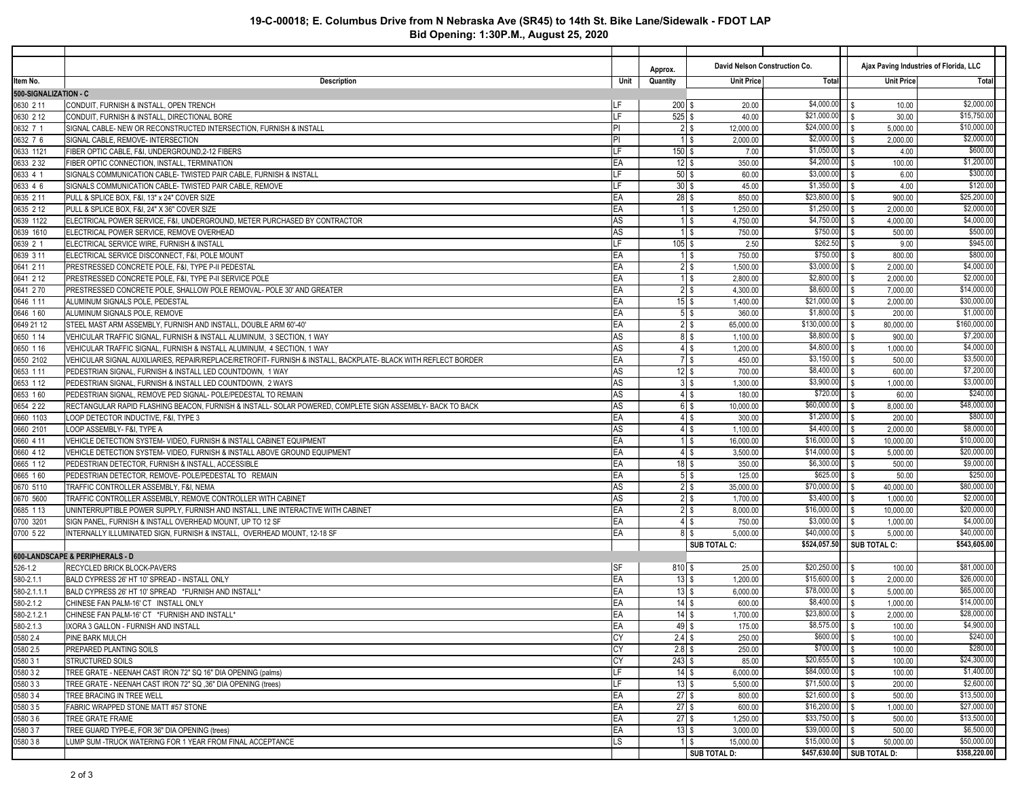## **19-C-00018; E. Columbus Drive from N Nebraska Ave (SR45) to 14th St. Bike Lane/Sidewalk - FDOT LAP Bid Opening: 1:30P.M., August 25, 2020**

|                          |                                                                                                                    |                 | Approx.             | David Nelson Construction Co. |                            | Ajax Paving Industries of Florida, LLC     |                            |
|--------------------------|--------------------------------------------------------------------------------------------------------------------|-----------------|---------------------|-------------------------------|----------------------------|--------------------------------------------|----------------------------|
| ltem No.                 | <b>Description</b>                                                                                                 | Unit            | Quantity            | <b>Unit Price</b>             | Total                      | <b>Unit Price</b>                          | Total                      |
| 500-SIGNALIZATION - C    |                                                                                                                    |                 |                     |                               |                            |                                            |                            |
| 0630 2 11                | CONDUIT, FURNISH & INSTALL, OPEN TRENCH                                                                            | ILF             | $200$ \$            | 20.00                         | \$4,000.00                 | S<br>10.00                                 | \$2,000.00                 |
| 0630 2 12                | CONDUIT, FURNISH & INSTALL, DIRECTIONAL BORE                                                                       | LF              | $525$ \$            | 40.00                         | \$21,000.00                | 30.00                                      | \$15,750.00<br>\$10,000.00 |
| 0632 7 1                 | SIGNAL CABLE- NEW OR RECONSTRUCTED INTERSECTION, FURNISH & INSTALL                                                 | PI<br><b>PI</b> |                     | $2$ $\sqrt{s}$<br>12,000.00   | \$24,000.00<br>\$2,000.00  | S<br>5,000.00<br>l S                       | \$2,000.00                 |
| 0632 7 6                 | SIGNAL CABLE, REMOVE- INTERSECTION                                                                                 | LF              | $150$ \$            | $1$ \$<br>2,000.00            | \$1,050.00                 | 2,000.00                                   | \$600.00                   |
| 0633 1121                | FIBER OPTIC CABLE, F&I, UNDERGROUND, 2-12 FIBERS                                                                   | EA              | $12 \,$ \$          | 7.00                          | \$4,200.00                 | S<br>4.00<br>l S                           | \$1,200.00                 |
| 0633 2 32<br>0633 4 1    | FIBER OPTIC CONNECTION, INSTALL, TERMINATION<br>SIGNALS COMMUNICATION CABLE- TWISTED PAIR CABLE, FURNISH & INSTALL | LF              | $50$ \$             | 350.00<br>60.00               | \$3,000.00                 | 100.00<br>S<br>6.00                        | \$300.00                   |
| 0633 4 6                 | SIGNALS COMMUNICATION CABLE- TWISTED PAIR CABLE. REMOVE                                                            | ILF             | $30$ \$             | 45.00                         | \$1,350.00                 | 4.00<br>S                                  | \$120.00                   |
| 0635 2 11                | PULL & SPLICE BOX, F&I, 13" x 24" COVER SIZE                                                                       | EA              | $28$ \$             | 850.00                        | \$23,800.00                | 900.00<br>l S                              | \$25,200.00                |
| 0635 2 12                | PULL & SPLICE BOX, F&I, 24" X 36" COVER SIZE                                                                       | EA              |                     | $1$ \$<br>1,250.00            | \$1,250.00                 | l S<br>2,000.00                            | \$2,000.00                 |
| 0639 1122                | ELECTRICAL POWER SERVICE, F&I, UNDERGROUND, METER PURCHASED BY CONTRACTOR                                          | AS              |                     | $1$ \$<br>4,750.00            | \$4,750.00                 | l S<br>4,000.00                            | \$4,000.00                 |
| 0639 1610                | ELECTRICAL POWER SERVICE, REMOVE OVERHEAD                                                                          | AS              |                     | $1$ \$<br>750.00              | \$750.00                   | l S<br>500.00                              | \$500.00                   |
| 0639 2 1                 | ELECTRICAL SERVICE WIRE, FURNISH & INSTALL                                                                         | <b>ILF</b>      | $105$ \$            | 2.50                          | \$262.50                   | 9.00<br>l \$                               | \$945.00                   |
| 0639 3 11                | ELECTRICAL SERVICE DISCONNECT, F&I, POLE MOUNT                                                                     | EA              |                     | $1$ \$<br>750.00              | \$750.00                   | l S<br>800.00                              | \$800.00                   |
| 0641 2 11                | PRESTRESSED CONCRETE POLE, F&I, TYPE P-II PEDESTAL                                                                 | EA              |                     | $2$ \$<br>1,500.00            | \$3,000.00                 | S<br>2,000.00                              | \$4,000.00                 |
| 0641 2 12                | PRESTRESSED CONCRETE POLE, F&I, TYPE P-II SERVICE POLE                                                             | EA              |                     | $1$ \$<br>2,800.00            | \$2,800.00                 | $\sqrt{S}$<br>2,000.00                     | \$2,000.00                 |
| 0641 270                 | PRESTRESSED CONCRETE POLE, SHALLOW POLE REMOVAL- POLE 30' AND GREATER                                              | EA              |                     | 2 <sub>5</sub><br>4,300.00    | \$8,600.00                 | l \$<br>7,000.00                           | \$14,000.00                |
| 0646 111                 | ALUMINUM SIGNALS POLE, PEDESTAL                                                                                    | EA              | $15$ \$             | 1,400.00                      | \$21,000.00                | $\sqrt{3}$<br>2,000.00                     | \$30,000.00                |
| 0646 160                 | ALUMINUM SIGNALS POLE, REMOVE                                                                                      | EA              | 5 <sup>5</sup>      | 360.00                        | \$1,800.00                 | 1S<br>200.00                               | \$1,000.00                 |
| 0649 21 12               | STEEL MAST ARM ASSEMBLY. FURNISH AND INSTALL. DOUBLE ARM 60'-40'                                                   | <b>EA</b>       |                     | $2$ \$<br>65,000.00           | \$130,000.00               | $\sqrt{3}$<br>80,000.00                    | \$160,000.00               |
| 0650 1 14                | VEHICULAR TRAFFIC SIGNAL, FURNISH & INSTALL ALUMINUM. 3 SECTION, 1 WAY                                             | AS              |                     | 8\$<br>1,100.00               | \$8,800.00                 | S<br>900.00                                | \$7,200.00                 |
| 0650 1 16                | VEHICULAR TRAFFIC SIGNAL, FURNISH & INSTALL ALUMINUM, 4 SECTION, 1 WAY                                             | AS              |                     | $4 \text{ }$ \$<br>1,200.00   | \$4,800.00                 | $\sqrt{3}$<br>1,000.00                     | \$4,000.00                 |
| 0650 2102                | VEHICULAR SIGNAL AUXILIARIES, REPAIR/REPLACE/RETROFIT- FURNISH & INSTALL, BACKPLATE- BLACK WITH REFLECT BORDER     | EA              |                     | 7 <sup>°</sup><br>450.00      | \$3,150.00                 | S<br>500.00                                | \$3,500.00                 |
| 0653 111                 | PEDESTRIAN SIGNAL, FURNISH & INSTALL LED COUNTDOWN. 1 WAY                                                          | AS              | $12 \,$ \$          | 700.00                        | \$8,400.00                 | l S<br>600.00                              | \$7,200.00                 |
| 0653 1 12                | PEDESTRIAN SIGNAL, FURNISH & INSTALL LED COUNTDOWN. 2 WAYS                                                         | AS              |                     | 3 <sup>5</sup><br>1,300.00    | \$3,900.00                 | S<br>1,000.00                              | \$3,000.00                 |
| 0653 160                 | PEDESTRIAN SIGNAL, REMOVE PED SIGNAL- POLE/PEDESTAL TO REMAIN                                                      | AS              |                     | $4 \text{ }$ \$<br>180.00     | \$720.00                   | l S<br>60.00                               | \$240.00                   |
| 0654 2 22                | RECTANGULAR RAPID FLASHING BEACON, FURNISH & INSTALL- SOLAR POWERED, COMPLETE SIGN ASSEMBLY- BACK TO BACK          | AS              |                     | $6\degree$<br>10,000.00       | \$60,000.00                | S<br>8,000.00                              | \$48,000.00                |
| 0660 1103                | LOOP DETECTOR INDUCTIVE, F&I, TYPE 3                                                                               | EA              |                     | $4 \text{ }$ \$<br>300.00     | \$1,200.00                 | l S<br>200.00                              | \$800.00                   |
| 0660 2101                | LOOP ASSEMBLY- F&I, TYPE A                                                                                         | AS              |                     | $4$ \$<br>1,100.00            | \$4,400.00                 | l \$<br>2,000.00                           | \$8,000.00                 |
| 0660 4 11                | VEHICLE DETECTION SYSTEM- VIDEO, FURNISH & INSTALL CABINET EQUIPMENT                                               | EA              |                     | $1$ \$<br>16,000.00           | \$16,000.00                | $\sqrt{3}$<br>10,000.00                    | \$10,000.00                |
| 0660 4 12                | VEHICLE DETECTION SYSTEM- VIDEO, FURNISH & INSTALL ABOVE GROUND EQUIPMENT                                          | EA              |                     | $4 \text{ }$ \$<br>3,500.00   | \$14,000.00                | S<br>5,000.00                              | \$20,000.00                |
| 0665 112                 | PEDESTRIAN DETECTOR, FURNISH & INSTALL, ACCESSIBLE                                                                 | EA              | 18 \$               | 350.00                        | \$6,300.00                 | -S<br>500.00                               | \$9,000.00                 |
| 0665 160                 | PEDESTRIAN DETECTOR, REMOVE- POLE/PEDESTAL TO REMAIN                                                               | EA              |                     | $5$ \$<br>125.00              | \$625.00                   | S<br>50.00                                 | \$250.00                   |
| 0670 5110                | TRAFFIC CONTROLLER ASSEMBLY, F&I, NEMA                                                                             | AS              |                     | $2$ \$<br>35,000.00           | \$70,000.00                | l S<br>40,000.00                           | \$80,000.00                |
| 0670 5600                | TRAFFIC CONTROLLER ASSEMBLY, REMOVE CONTROLLER WITH CABINET                                                        | AS              |                     | $2$ \$<br>1,700.00            | \$3,400.00                 | S<br>1,000.00                              | \$2,000.00                 |
| 0685 113                 | UNINTERRUPTIBLE POWER SUPPLY, FURNISH AND INSTALL, LINE INTERACTIVE WITH CABINET                                   | EA              |                     | $2$ \$<br>8,000.00            | \$16,000.00                | l \$<br>10,000.00                          | \$20,000.00                |
| 0700 3201                | SIGN PANEL, FURNISH & INSTALL OVERHEAD MOUNT, UP TO 12 SF                                                          | EA              |                     | $4 \text{ }$ \$<br>750.00     | \$3,000.00                 | S<br>1,000.00                              | \$4,000.00                 |
| 0700 5 22                | INTERNALLY ILLUMINATED SIGN, FURNISH & INSTALL, OVERHEAD MOUNT, 12-18 SF                                           | EA              |                     | 8 \$<br>5,000.00              | \$40,000.00                | -S<br>5,000.00                             | \$40,000.00                |
|                          |                                                                                                                    |                 |                     | SUB TOTAL C:                  | \$524,057.50               | SUB TOTAL C:                               | \$543,605.00               |
|                          | 600-LANDSCAPE & PERIPHERALS - D                                                                                    |                 |                     |                               |                            |                                            |                            |
| 526-1.2                  | RECYCLED BRICK BLOCK-PAVERS                                                                                        | <b>SF</b><br>EA | $810$ \$<br>$13$ \$ | 25.00                         | \$20,250.00<br>\$15,600.00 | 100.00<br>∣\$                              | \$81,000.00<br>\$26,000.00 |
| 580-2.1.1<br>580-2.1.1.1 | BALD CYPRESS 26' HT 10' SPREAD - INSTALL ONLY<br>BALD CYPRESS 26' HT 10' SPREAD *FURNISH AND INSTALL*              | EA              | $13$ \$             | 1,200.00<br>6,000.00          | \$78,000.00                | $\sqrt{3}$<br>2,000.00<br>l \$<br>5,000.00 | \$65,000.00                |
| 580-2.1.2                | CHINESE FAN PALM-16' CT INSTALL ONLY                                                                               | <b>EA</b>       | 14S                 | 600.00                        | \$8,400.00                 | $\sqrt{3}$<br>1,000.00                     | \$14,000.00                |
| 580-2.1.2.1              | CHINESE FAN PALM-16' CT *FURNISH AND INSTALL*                                                                      | EA              | 14S                 | 1,700.00                      | \$23,800.00                | $\sqrt{S}$<br>2,000.00                     | \$28,000.00                |
| 580-2.1.3                | IXORA 3 GALLON - FURNISH AND INSTALL                                                                               | EA              | $49$ \$             | 175.00                        |                            | 100.00                                     | \$4,900.00                 |
| 0580 2.4                 | <b>PINE BARK MULCH</b>                                                                                             | <b>CY</b>       | $2.4$ \$            | 250.00                        | $$600.00$     \$           | 100.00                                     | \$240.00                   |
| 0580 2.5                 | PREPARED PLANTING SOILS                                                                                            | <b>CY</b>       | $2.8$ \$            | 250.00                        | $$700.00$     \$           | 100.00                                     | \$280.00                   |
| 0580 31                  | <b>STRUCTURED SOILS</b>                                                                                            | <b>CY</b>       | $243$ \$            | 85.00                         |                            | 100.00                                     | \$24,300.00                |
| 0580 32                  | TREE GRATE - NEENAH CAST IRON 72" SQ 16" DIA OPENING (palms)                                                       | <b>ILF</b>      | $14$ \$             | 6,000.00                      | $$84,000.00$ \ \ \$        | 100.00                                     | \$1,400.00                 |
| 0580 33                  | TREE GRATE - NEENAH CAST IRON 72" SQ, 36" DIA OPENING (trees)                                                      | <b>ILF</b>      | $13 \mid$ \$        | 5,500.00                      |                            | 200.00                                     | \$2,600.00                 |
| 0580 34                  | TREE BRACING IN TREE WELL                                                                                          | EA              | $27$ \$             | 800.00                        |                            | 500.00                                     | \$13,500.00                |
| 0580 35                  | FABRIC WRAPPED STONE MATT #57 STONE                                                                                | EA              | $27$ \$             | 600.00                        |                            | 1,000.00                                   | \$27,000.00                |
| 0580 36                  | <b>TREE GRATE FRAME</b>                                                                                            | EA              | $27$ \$             | 1,250.00                      |                            | 500.00                                     | \$13,500.00                |
| 0580 37                  | TREE GUARD TYPE-E, FOR 36" DIA OPENING (trees)                                                                     | EA              | $13 \mid$ \$        | 3,000.00                      |                            | 500.00                                     | \$6,500.00                 |
| 0580 38                  | LUMP SUM -TRUCK WATERING FOR 1 YEAR FROM FINAL ACCEPTANCE                                                          | LS              |                     | $1$ \$<br>15,000.00           |                            | 50,000.00                                  | \$50,000.00                |
|                          |                                                                                                                    |                 |                     | SUB TOTAL D:                  |                            | \$457,630.00   SUB TOTAL D:                | \$358,220.00               |